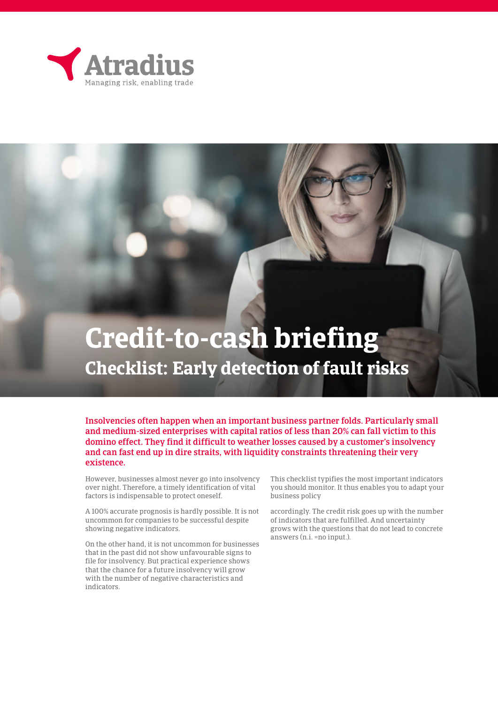

Insolvencies often happen when an important business partner folds. Particularly small and medium-sized enterprises with capital ratios of less than 20% can fall victim to this domino effect. They find it difficult to weather losses caused by a customer's insolvency and can fast end up in dire straits, with liquidity constraints threatening their very existence.

However, businesses almost never go into insolvency over night. Therefore, a timely identification of vital factors is indispensable to protect oneself.

A 100% accurate prognosis is hardly possible. It is not uncommon for companies to be successful despite showing negative indicators.

On the other hand, it is not uncommon for businesses that in the past did not show unfavourable signs to file for insolvency. But practical experience shows that the chance for a future insolvency will grow with the number of negative characteristics and indicators.

This checklist typifies the most important indicators you should monitor. It thus enables you to adapt your business policy

accordingly. The credit risk goes up with the number of indicators that are fulfilled. And uncertainty grows with the questions that do not lead to concrete answers (n.i. =no input.).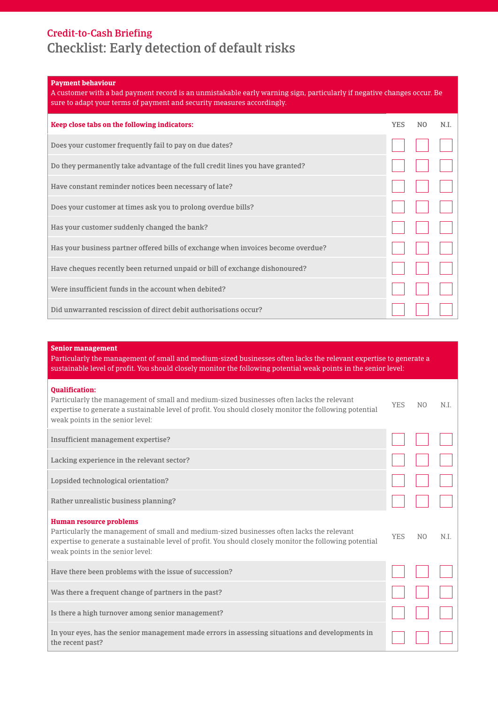### **Payment behaviour**

| A customer with a bad payment record is an unmistakable early warning sign, particularly if negative changes occur. Be<br>sure to adapt your terms of payment and security measures accordingly. |            |                |      |  |  |  |
|--------------------------------------------------------------------------------------------------------------------------------------------------------------------------------------------------|------------|----------------|------|--|--|--|
| Keep close tabs on the following indicators:                                                                                                                                                     | <b>YES</b> | N <sub>0</sub> | N.I. |  |  |  |
| Does your customer frequently fail to pay on due dates?                                                                                                                                          |            |                |      |  |  |  |
| Do they permanently take advantage of the full credit lines you have granted?                                                                                                                    |            |                |      |  |  |  |
| Have constant reminder notices been necessary of late?                                                                                                                                           |            |                |      |  |  |  |
| Does your customer at times ask you to prolong overdue bills?                                                                                                                                    |            |                |      |  |  |  |
| Has your customer suddenly changed the bank?                                                                                                                                                     |            |                |      |  |  |  |
| Has your business partner offered bills of exchange when invoices become overdue?                                                                                                                |            |                |      |  |  |  |
| Have cheques recently been returned unpaid or bill of exchange dishonoured?                                                                                                                      |            |                |      |  |  |  |
| Were insufficient funds in the account when debited?                                                                                                                                             |            |                |      |  |  |  |
| Did unwarranted rescission of direct debit authorisations occur?                                                                                                                                 |            |                |      |  |  |  |

#### **Senior management**

Particularly the management of small and medium-sized businesses often lacks the relevant expertise to generate a sustainable level of profit. You should closely monitor the following potential weak points in the senior level:

| <b>Oualification:</b><br>Particularly the management of small and medium-sized businesses often lacks the relevant<br>expertise to generate a sustainable level of profit. You should closely monitor the following potential<br>weak points in the senior level:   | <b>YES</b> | N <sub>O</sub> | N.I. |
|---------------------------------------------------------------------------------------------------------------------------------------------------------------------------------------------------------------------------------------------------------------------|------------|----------------|------|
| Insufficient management expertise?                                                                                                                                                                                                                                  |            |                |      |
| Lacking experience in the relevant sector?                                                                                                                                                                                                                          |            |                |      |
| Lopsided technological orientation?                                                                                                                                                                                                                                 |            |                |      |
| Rather unrealistic business planning?                                                                                                                                                                                                                               |            |                |      |
| Human resource problems<br>Particularly the management of small and medium-sized businesses often lacks the relevant<br>expertise to generate a sustainable level of profit. You should closely monitor the following potential<br>weak points in the senior level: | <b>YES</b> | N <sub>O</sub> | N.I. |
| Have there been problems with the issue of succession?                                                                                                                                                                                                              |            |                |      |
| Was there a frequent change of partners in the past?                                                                                                                                                                                                                |            |                |      |
| Is there a high turnover among senior management?                                                                                                                                                                                                                   |            |                |      |
| In your eyes, has the senior management made errors in assessing situations and developments in<br>the recent past?                                                                                                                                                 |            |                |      |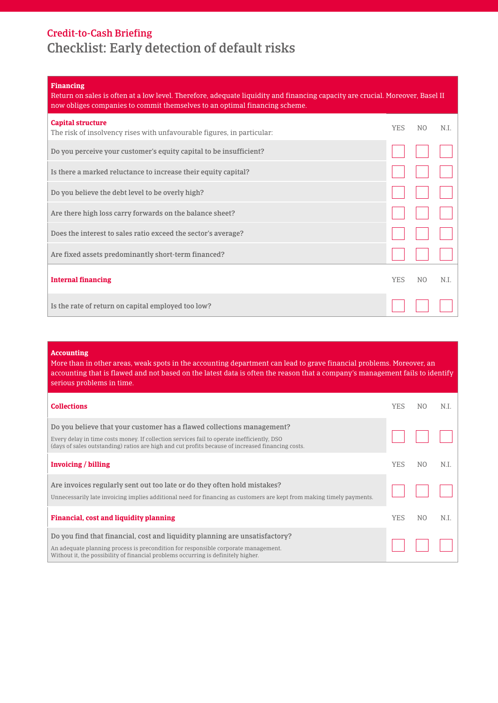### **Financing**

| Return on sales is often at a low level. Therefore, adequate liquidity and financing capacity are crucial. Moreover, Basel II<br>now obliges companies to commit themselves to an optimal financing scheme. |            |                |      |  |  |
|-------------------------------------------------------------------------------------------------------------------------------------------------------------------------------------------------------------|------------|----------------|------|--|--|
| <b>Capital structure</b><br>The risk of insolvency rises with unfavourable figures, in particular:                                                                                                          | YES.       | N <sub>O</sub> | N.I. |  |  |
| Do you perceive your customer's equity capital to be insufficient?                                                                                                                                          |            |                |      |  |  |
| Is there a marked reluctance to increase their equity capital?                                                                                                                                              |            |                |      |  |  |
| Do you believe the debt level to be overly high?                                                                                                                                                            |            |                |      |  |  |
| Are there high loss carry forwards on the balance sheet?                                                                                                                                                    |            |                |      |  |  |
| Does the interest to sales ratio exceed the sector's average?                                                                                                                                               |            |                |      |  |  |
| Are fixed assets predominantly short-term financed?                                                                                                                                                         |            |                |      |  |  |
| <b>Internal financing</b>                                                                                                                                                                                   | <b>YES</b> | N <sub>O</sub> | N.I. |  |  |
| Is the rate of return on capital employed too low?                                                                                                                                                          |            |                |      |  |  |

#### **Accounting**

More than in other areas, weak spots in the accounting department can lead to grave financial problems. Moreover, an accounting that is flawed and not based on the latest data is often the reason that a company's management fails to identify serious problems in time.

| <b>Collections</b>                                                                                                                                                                                                                                                        | YES.       | N <sub>O</sub> | N.I |
|---------------------------------------------------------------------------------------------------------------------------------------------------------------------------------------------------------------------------------------------------------------------------|------------|----------------|-----|
| Do you believe that your customer has a flawed collections management?<br>Every delay in time costs money. If collection services fail to operate inefficiently, DSO<br>(days of sales outstanding) ratios are high and cut profits because of increased financing costs. |            |                |     |
| Invoicing / billing                                                                                                                                                                                                                                                       | <b>YES</b> | N <sub>O</sub> | N.I |
| Are invoices regularly sent out too late or do they often hold mistakes?<br>Unnecessarily late invoicing implies additional need for financing as customers are kept from making timely payments.                                                                         |            |                |     |
| Financial, cost and liquidity planning                                                                                                                                                                                                                                    | <b>YES</b> | N <sub>O</sub> | ΝI  |
| Do you find that financial, cost and liquidity planning are unsatisfactory?<br>An adequate planning process is precondition for responsible corporate management.<br>Without it, the possibility of financial problems occurring is definitely higher.                    |            |                |     |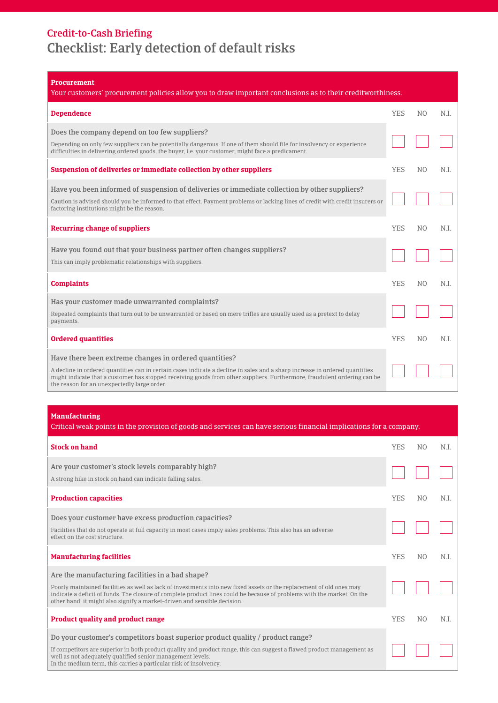| <b>Procurement</b><br>Your customers' procurement policies allow you to draw important conclusions as to their creditworthiness.                                                                                                                                                                                                                                 |            |                |      |
|------------------------------------------------------------------------------------------------------------------------------------------------------------------------------------------------------------------------------------------------------------------------------------------------------------------------------------------------------------------|------------|----------------|------|
| <b>Dependence</b>                                                                                                                                                                                                                                                                                                                                                | <b>YES</b> | N <sub>O</sub> | N.I. |
| Does the company depend on too few suppliers?<br>Depending on only few suppliers can be potentially dangerous. If one of them should file for insolvency or experience<br>difficulties in delivering ordered goods, the buyer, i.e. your customer, might face a predicament.                                                                                     |            |                |      |
| Suspension of deliveries or immediate collection by other suppliers                                                                                                                                                                                                                                                                                              | <b>YES</b> | N <sub>O</sub> | N.I. |
| Have you been informed of suspension of deliveries or immediate collection by other suppliers?<br>Caution is advised should you be informed to that effect. Payment problems or lacking lines of credit with credit insurers or<br>factoring institutions might be the reason.                                                                                   |            |                |      |
| <b>Recurring change of suppliers</b>                                                                                                                                                                                                                                                                                                                             | <b>YES</b> | N <sub>O</sub> | N.I. |
| Have you found out that your business partner often changes suppliers?<br>This can imply problematic relationships with suppliers.                                                                                                                                                                                                                               |            |                |      |
| <b>Complaints</b>                                                                                                                                                                                                                                                                                                                                                | <b>YES</b> | N <sub>O</sub> | N.I. |
| Has your customer made unwarranted complaints?<br>Repeated complaints that turn out to be unwarranted or based on mere trifles are usually used as a pretext to delay<br>payments.                                                                                                                                                                               |            |                |      |
| <b>Ordered quantities</b>                                                                                                                                                                                                                                                                                                                                        | <b>YES</b> | N <sub>0</sub> | N.I. |
| Have there been extreme changes in ordered quantities?<br>A decline in ordered quantities can in certain cases indicate a decline in sales and a sharp increase in ordered quantities<br>might indicate that a customer has stopped receiving goods from other suppliers. Furthermore, fraudulent ordering can be<br>the reason for an unexpectedly large order. |            |                |      |

**Manufacturing**

|  |  |  |  |  | Critical weak points in the provision of goods and services can have serious financial implications for a company. |
|--|--|--|--|--|--------------------------------------------------------------------------------------------------------------------|
|  |  |  |  |  |                                                                                                                    |
|  |  |  |  |  |                                                                                                                    |
|  |  |  |  |  |                                                                                                                    |

| <b>Stock on hand</b>                                                                                                                                                                                                                                                                                                                                                            | <b>YES</b> | N <sub>O</sub> | N.I. |
|---------------------------------------------------------------------------------------------------------------------------------------------------------------------------------------------------------------------------------------------------------------------------------------------------------------------------------------------------------------------------------|------------|----------------|------|
| Are your customer's stock levels comparably high?<br>A strong hike in stock on hand can indicate falling sales.                                                                                                                                                                                                                                                                 |            |                |      |
| <b>Production capacities</b>                                                                                                                                                                                                                                                                                                                                                    | <b>YES</b> | N <sub>O</sub> | N.I. |
| Does your customer have excess production capacities?<br>Facilities that do not operate at full capacity in most cases imply sales problems. This also has an adverse<br>effect on the cost structure.                                                                                                                                                                          |            |                |      |
| <b>Manufacturing facilities</b>                                                                                                                                                                                                                                                                                                                                                 | <b>YES</b> | N <sub>0</sub> | N.I. |
| Are the manufacturing facilities in a bad shape?<br>Poorly maintained facilities as well as lack of investments into new fixed assets or the replacement of old ones may<br>indicate a deficit of funds. The closure of complete product lines could be because of problems with the market. On the<br>other hand, it might also signify a market-driven and sensible decision. |            |                |      |
| <b>Product quality and product range</b>                                                                                                                                                                                                                                                                                                                                        | <b>YES</b> | N()            | N.I. |
| Do your customer's competitors boast superior product quality / product range?<br>If competitors are superior in both product quality and product range, this can suggest a flawed product management as<br>well as not adequately qualified senior management levels.<br>In the medium term, this carries a particular risk of insolvency.                                     |            |                |      |